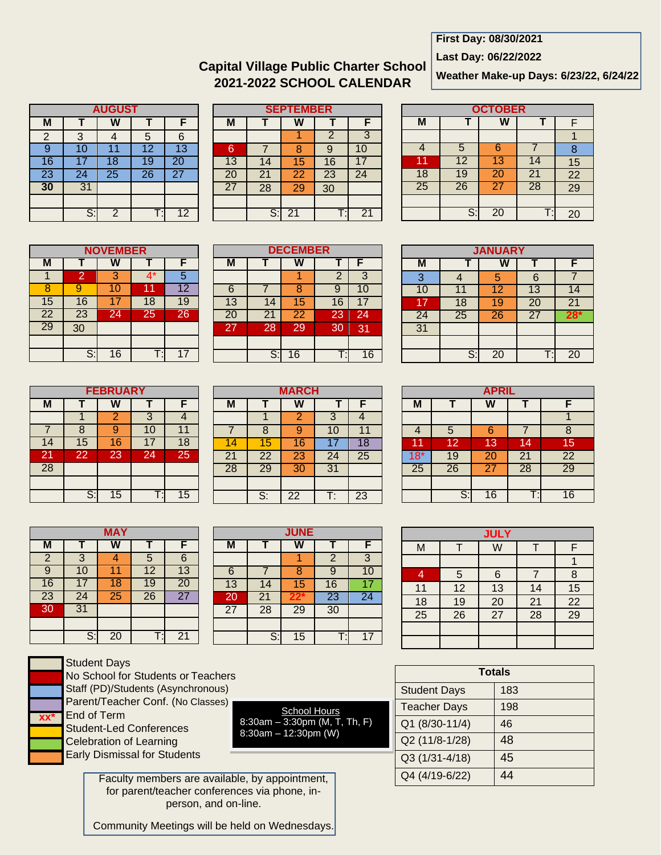# **First Day: 08/30/2021**

**Last Day: 06/22/2022**

# **Capital Village Public Charter School 2021-2022 SCHOOL CALENDAR**

**Weather Make-up Days: 6/23/22, 6/24/22**

| <b>AUGUST</b>  |                 |                 |                 |                 |  |
|----------------|-----------------|-----------------|-----------------|-----------------|--|
| M              |                 |                 |                 |                 |  |
| $\overline{2}$ | 3               |                 | 5               | 6               |  |
| 9              | 10              | 11              | $\overline{12}$ | 13              |  |
| 16             | 17              | 18              | 19              | 20              |  |
| 23             | 24              | $\overline{25}$ | 26              | $\overline{27}$ |  |
| 30             | $\overline{31}$ |                 |                 |                 |  |
|                |                 |                 |                 |                 |  |
|                | S               | $\overline{2}$  |                 | 12              |  |

| <b>SEPTEMBER</b> |                 |                 |    |                |  |
|------------------|-----------------|-----------------|----|----------------|--|
| М                |                 |                 |    |                |  |
|                  |                 |                 | 2  | 3              |  |
| 6                |                 | 8               | 9  | 10             |  |
| 13               | 14              | 15              | 16 | 17             |  |
| 20               | $\overline{21}$ | $\overline{22}$ | 23 | 24             |  |
| $\overline{27}$  | $\overline{28}$ | 29              | 30 |                |  |
|                  |                 |                 |    |                |  |
|                  | S               | 21              |    | 2 <sub>1</sub> |  |

**DECEMBER M T W T F**

6 | 7 | 8 | 9 | 10 13 14 15 16 17<br>20 21 22 23 24 21 22 23 27 28 29 30 31

1 2 3

|                 | <b>OCTOBER</b>  |    |    |           |  |  |
|-----------------|-----------------|----|----|-----------|--|--|
| М               |                 |    |    | F         |  |  |
|                 |                 |    |    |           |  |  |
|                 | 5               | 6  |    | 8         |  |  |
| 11              | $\overline{12}$ | 13 | 14 | 15        |  |  |
| 18              | 19              | 20 | 21 | <b>22</b> |  |  |
| $\overline{25}$ | $\overline{26}$ | 27 | 28 | 29        |  |  |
|                 |                 |    |    |           |  |  |
|                 | S:              | 20 | т  | 20        |  |  |

| <b>NOVEMBER</b> |    |    |    |                 |  |
|-----------------|----|----|----|-----------------|--|
| M               |    |    |    |                 |  |
|                 | 2  | 3  | 4* | 5               |  |
|                 | Q  | 10 | 1  | $\overline{12}$ |  |
| 15              | 16 | 17 | 18 | 19              |  |
| <b>22</b>       | 23 | 24 | 25 | 26              |  |
| $\overline{29}$ | 30 |    |    |                 |  |
|                 |    |    |    |                 |  |
|                 | S: | 16 |    |                 |  |

| <b>FEBRUARY</b> |    |                |    |                 |  |  |
|-----------------|----|----------------|----|-----------------|--|--|
| м               | F  |                |    |                 |  |  |
|                 |    | $\overline{2}$ | 3  |                 |  |  |
|                 | 8  |                | 10 |                 |  |  |
| 14              | 15 | 16             |    | $\overline{18}$ |  |  |
| 21              | 22 | 23             | 24 | 25              |  |  |
| 28              |    |                |    |                 |  |  |
|                 |    |                |    |                 |  |  |
|                 | S: | 15             |    | 15              |  |  |

|                 |                 | MAY |                 |                 |
|-----------------|-----------------|-----|-----------------|-----------------|
| M               | т               | W   |                 | F               |
| $\overline{2}$  | 3               |     | $\overline{5}$  | $\overline{6}$  |
| 9               | 10              |     | $\overline{12}$ | 13              |
| 16              | 17              | 18  | 19              | 20              |
| 23              | 24              | 25  | 26              | $\overline{27}$ |
| $\overline{30}$ | $\overline{31}$ |     |                 |                 |
|                 |                 |     |                 |                 |
|                 | S:              | 20  |                 | 21              |

|        | S:           | 16             |    | 16 |  |  |
|--------|--------------|----------------|----|----|--|--|
|        |              |                |    |    |  |  |
|        |              |                |    |    |  |  |
|        | <b>MARCH</b> |                |    |    |  |  |
| $\Psi$ |              |                |    | F  |  |  |
|        |              | $\overline{2}$ | 3  |    |  |  |
|        | 8            |                | 10 |    |  |  |
|        | 5            | 6              |    | 8  |  |  |
|        |              |                | ٠  |    |  |  |

| M               |                           | VV              |                 |    |
|-----------------|---------------------------|-----------------|-----------------|----|
|                 |                           | $\overline{2}$  | 3               |    |
|                 | Я                         | c               | 10              | 11 |
|                 | 15                        | 16              |                 | 18 |
| $\overline{21}$ | <u>22</u>                 | 23              | 24              | 25 |
| 28              | 29                        | 30              | $\overline{31}$ |    |
|                 |                           |                 |                 |    |
|                 | $\overline{\mathbb{S}}$ : | $\overline{22}$ | г:              | 23 |
|                 |                           |                 |                 |    |

| <b>JUNE</b>     |                 |    |                 |                 |  |
|-----------------|-----------------|----|-----------------|-----------------|--|
| M               |                 |    |                 | F               |  |
|                 |                 |    | $\overline{2}$  | 3               |  |
| 6               |                 | я  | q               | 10              |  |
| 13              | 14              | 15 | 16              |                 |  |
| 20              | $\overline{21}$ | 22 | $\overline{23}$ | $\overline{24}$ |  |
| $\overline{27}$ | $\overline{28}$ | 29 | 30              |                 |  |
|                 |                 |    |                 |                 |  |
|                 | S:              | 15 |                 | 17              |  |

**School Hours** 

|        | St             |
|--------|----------------|
|        | N <sub>0</sub> |
|        | St             |
|        | Pέ             |
| $XX^*$ | Er             |
|        | St             |
|        | С<br>ť         |
|        | Eέ             |

| Student Davs                       |
|------------------------------------|
| No School for Students or Teachers |
| Staff (PD)/Students (Asynchronous) |
| Parent/Teacher Conf. (No Classes)  |
| End of Term                        |
| Student-Led Conferences            |

8:30am  $-$  3:30pm (M, T, Th, F) 8:30am – 12:30pm (W) Student-Led Conferences Celebration of Learning Early Dismissal for Students

> Faculty members are available, by appointment, for parent/teacher conferences via phone, inperson, and on-line.

Community Meetings will be held on Wednesdays.

| <b>JANUARY</b> |                 |    |                 |                 |  |  |  |  |
|----------------|-----------------|----|-----------------|-----------------|--|--|--|--|
| M              |                 |    |                 |                 |  |  |  |  |
| 3              |                 | 5  | 6               |                 |  |  |  |  |
| 10             | 11              | 12 | 13              | 14              |  |  |  |  |
| 17             | 18              | 19 | 20              | $\overline{21}$ |  |  |  |  |
| 24             | $\overline{25}$ | 26 | $\overline{27}$ | 28*             |  |  |  |  |
| 31             |                 |    |                 |                 |  |  |  |  |
|                |                 |    |                 |                 |  |  |  |  |
|                | Š.              | 20 | ٠               | 20              |  |  |  |  |

| <b>APRIL</b> |       |    |                 |           |  |  |  |
|--------------|-------|----|-----------------|-----------|--|--|--|
| M            |       | W  | т               | F         |  |  |  |
|              |       |    |                 |           |  |  |  |
|              | 5     | 6  |                 | 8         |  |  |  |
| 11           | 12    | 13 | 14              | 15        |  |  |  |
| $18*$        | 19    | 20 | $\overline{21}$ | <b>22</b> |  |  |  |
| 25           | 26    | 27 | 28              | 29        |  |  |  |
|              |       |    |                 |           |  |  |  |
|              | $S$ : | 16 |                 | 16        |  |  |  |

| <b>JULY</b>     |                 |                 |                 |                 |  |  |
|-----------------|-----------------|-----------------|-----------------|-----------------|--|--|
| M               |                 | W               |                 |                 |  |  |
|                 |                 |                 |                 |                 |  |  |
| $\overline{4}$  | 5               | $6\phantom{1}6$ |                 | 8               |  |  |
| 11              | 12              | <u>13</u>       | 14              | $\frac{15}{22}$ |  |  |
| <u>18</u>       | $\frac{19}{26}$ | $\frac{20}{27}$ | $\overline{21}$ |                 |  |  |
| $\overline{25}$ |                 |                 | 28              |                 |  |  |
|                 |                 |                 |                 |                 |  |  |
|                 |                 |                 |                 |                 |  |  |

| <b>Totals</b>       |     |  |  |  |
|---------------------|-----|--|--|--|
| <b>Student Days</b> | 183 |  |  |  |
| <b>Teacher Days</b> | 198 |  |  |  |
| Q1 (8/30-11/4)      | 46  |  |  |  |
| Q2 (11/8-1/28)      | 48  |  |  |  |
| Q3 (1/31-4/18)      | 45  |  |  |  |
| Q4 (4/19-6/22)      | 1/4 |  |  |  |